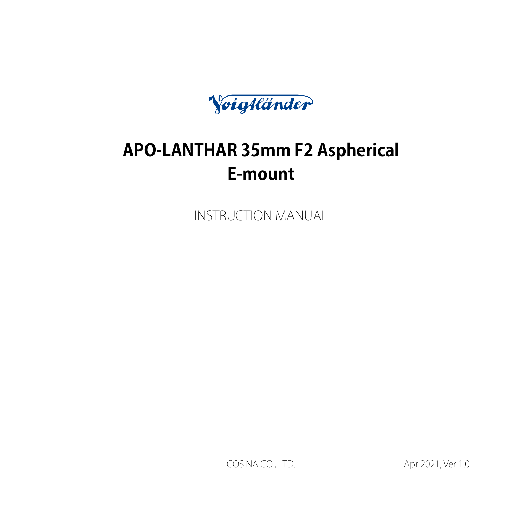Voigtländer

# **APO-LANTHAR 35mm F2 Aspherical** E-mount

**INSTRUCTION MANUAL** 

1.0 COSINA CO., LTD. 4.0 Ver 2021, Ver 1.0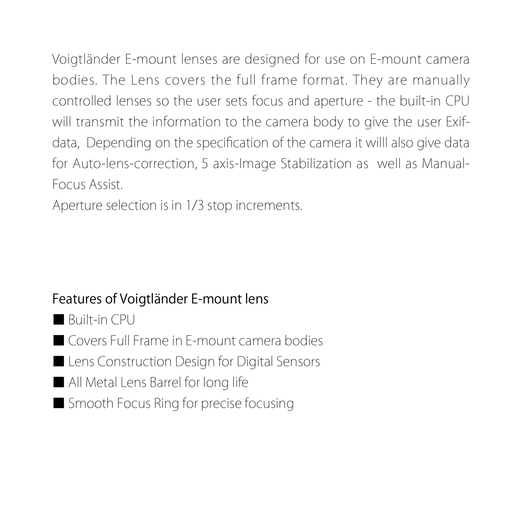Voigtländer E-mount-lenses are designed for use on E-mount-camera bodies. The Lens covers the full frame format. They are manually controlled lenses so the user sets focus and aperture - the built-in CPU data, Depending on the specification of the camera it willl also give data will transmit the information to the camera body to give the user Exiffor Auto-lens-correction, 5 axis-Image Stabilization as well as Manual-<br>Focus Assist.

Aperture selection is in 1/3 stop increments.

# Features of Voigtländer E-mount lens

- Built-in CPU
- Covers Full Frame in F-mount-camera bodies
- Lens Construction Design for Digital Sensors
- lall Metal Lens Barrel for long life
- Smooth Focus Ring for precise focusing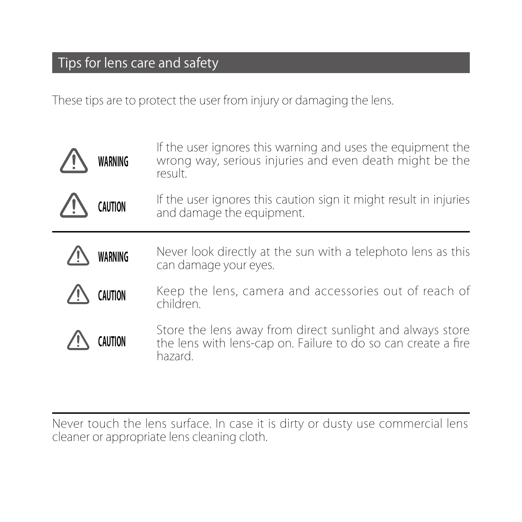# Tips for lens care and safety

l,

These tips are to protect the user from injury or damaging the lens.

| WARNING | If the user ignores this warning and uses the equipment the<br>wrong way, serious injuries and even death might be the<br>result.     |
|---------|---------------------------------------------------------------------------------------------------------------------------------------|
| CAUTION | If the user ignores this caution sign it might result in injuries<br>and damage the equipment.                                        |
| WARNING | Never look directly at the sun with a telephoto lens as this<br>can damage your eyes.                                                 |
| CAUTION | Keep the lens, camera and accessories out of reach of<br>children.                                                                    |
|         | Store the lens away from direct sunlight and always store<br>the lens with lens-cap on. Failure to do so can create a fire<br>hazard. |

Never touch the lens surface. In case it is dirty or dusty use commercial lens<br>cleaner or appropriate lens cleaning cloth.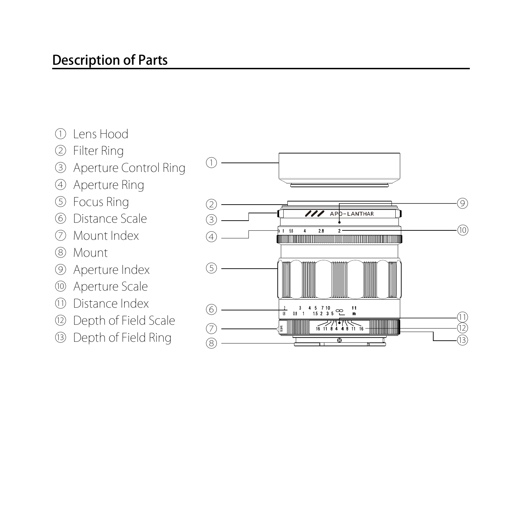- 
- 
- **Description of Parts**<br>
① Elens Hood<br>
② Filter Ring<br>
③ Aperture Control Ring<br>
③ Pocus Ring<br>
③ Distance Scale<br>
⑦ Mount Index<br>
③ Mount Lendex<br>
③ Moerture Index<br>
③ Moerture Index<br>
① Distance Index<br>
① Depth of Field Scale<br>
③ D
- 
- 
- 
- 
- 
- 
- 
- 
- 
- 

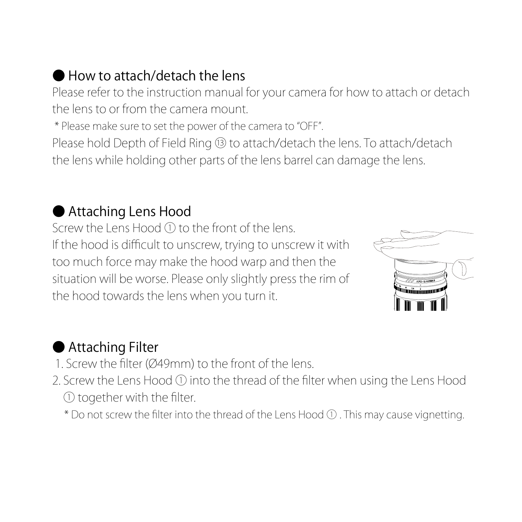# How to attach/detach the lens

Please refer to the instruction manual for your camera for how to attach or detach the lens to or from the camera mount

\* Please make sure to set the power of the camera to "OFF".

Please hold Depth of Field Ring <sup>®</sup> to attach/detach the lens. To attach/detach the lens while holding other parts of the lens barrel can damage the lens.

# ● Attaching Lens Hood

Screw the Lens Hood (1) to the front of the lens. If the hood is difficult to unscrew, trying to unscrew it with too much force may make the hood warp and then the situation will be worse. Please only slightly press the rim of the hood towards the lens when you turn it.



# ● Attaching Filter

- 1. Screw the filter (Ø49mm) to the front of the lens
- 2. Screw the Lens Hood  $\odot$  into the thread of the filter when using the Lens Hood  $\Omega$  together with the filter.
	- \* Do not screw the filter into the thread of the Lens Hood  $\Omega$  . This may cause vignetting.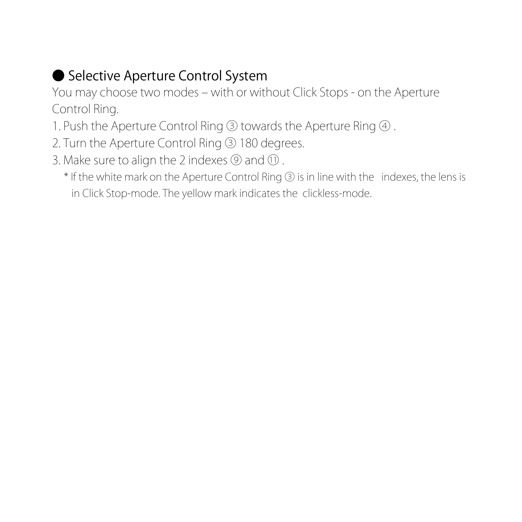# ● Selective Aperture Control System

You may choose two modes – with or without Click Stops - on the Aperture Control Rina.

- 1. Push the Aperture Control Ring 3 towards the Aperture Ring 4.
- 2. Turn the Aperture Control Ring 3 180 degrees.
- 3. Make sure to align the 2 indexes  $\circledR$  and  $\circledR$ .
	- \* If the white mark on the Aperture Control Ring 3 is in line with the indexes, the lens is in Click Stop-mode. The yellow mark indicates the clickless-mode.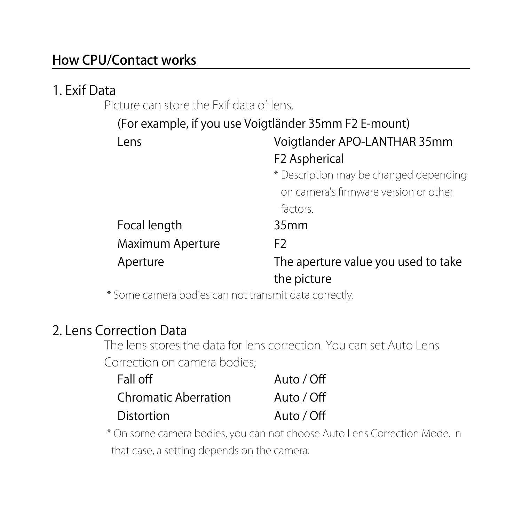#### How CPU/Contact works

### 1. Exif Data

.<br>Picture can store the Exif data of lens

|                  | (For example, if you use Voigtländer 35mm F2 E-mount)                           |
|------------------|---------------------------------------------------------------------------------|
| Lens             | Voigtlander APO-LANTHAR 35mm<br>F <sub>2</sub> Aspherical                       |
|                  | * Description may be changed depending<br>on camera's firmware version or other |
|                  | factors.                                                                        |
| Focal length     | 35mm                                                                            |
| Maximum Aperture | F <sub>2</sub>                                                                  |
| Aperture         | The aperture value you used to take<br>the picture                              |

\* Some camera bodies can not transmit data correctly.

#### 2. Lens Correction Data

The lens stores the data for lens correction. You can set Auto Lens Correction on camera bodies:

| Fall off                    | Auto / Off |
|-----------------------------|------------|
| <b>Chromatic Aberration</b> | Auto / Off |
| Distortion                  | Auto / Off |

\* On some camera bodies, you can not choose Auto Lens Correction Mode. In that case, a setting depends on the camera.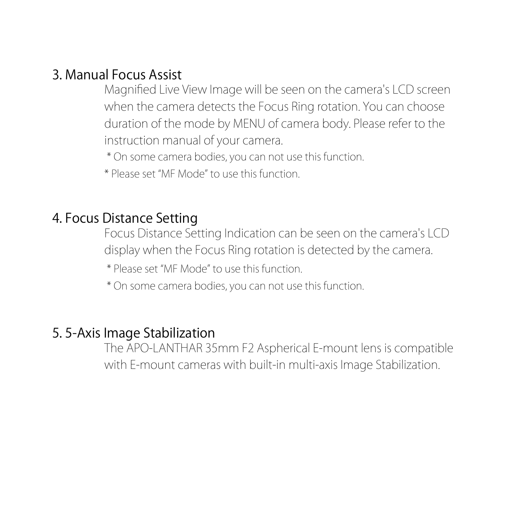#### Assist Focus Manual 3.

Magnified Live View Image will be seen on the camera's LCD screen when the camera detects the Focus Ring rotation. You can choose duration of the mode by MENU of camera body. Please refer to the instruction manual of your camera.

\* On some camera bodies, you can not use this function

\* Please set "MF Mode" to use this function

#### 4. Focus Distance Setting

Eocus Distance Setting Indication can be seen on the camera's LCD display when the Focus Ring rotation is detected by the camera.

\* Please set "MF Mode" to use this function

\* On some camera bodies, you can not use this function.

#### 5.5-Axis Image Stabilization

The APO-LANTHAR 35mm F2 Aspherical E-mount lens is compatible with E-mount cameras with built-in multi-axis Image Stabilization.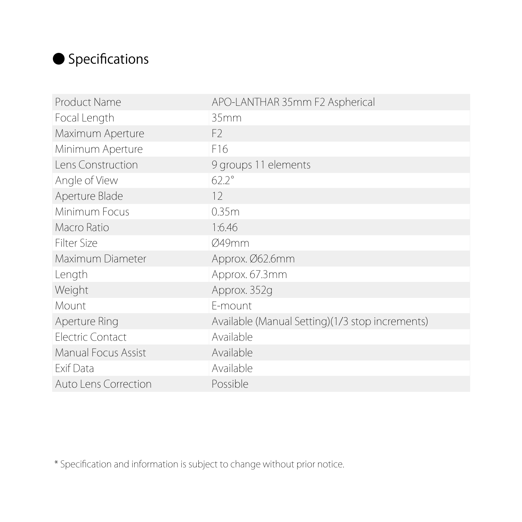# ● Specifications

| Product Name         | APO-LANTHAR 35mm F2 Aspherical                  |
|----------------------|-------------------------------------------------|
| Focal Length         | 35mm                                            |
| Maximum Aperture     | F <sub>2</sub>                                  |
| Minimum Aperture     | F16                                             |
| Lens Construction    | 9 groups 11 elements                            |
| Angle of View        | $622^\circ$                                     |
| Aperture Blade       | 12                                              |
| Minimum Focus        | 0.35m                                           |
| Macro Ratio          | 1:6.46                                          |
| <b>Filter Size</b>   | Ø49mm                                           |
| Maximum Diameter     | Approx. Ø62.6mm                                 |
| Length               | Approx. 67.3mm                                  |
| Weight               | Approx. 352g                                    |
| Mount                | F-mount                                         |
| Aperture Ring        | Available (Manual Setting)(1/3 stop increments) |
| Electric Contact     | Available                                       |
| Manual Focus Assist  | Available                                       |
| Exif Data            | Available                                       |
| Auto Lens Correction | Possible                                        |

\* Specification and information is subject to change without prior notice.